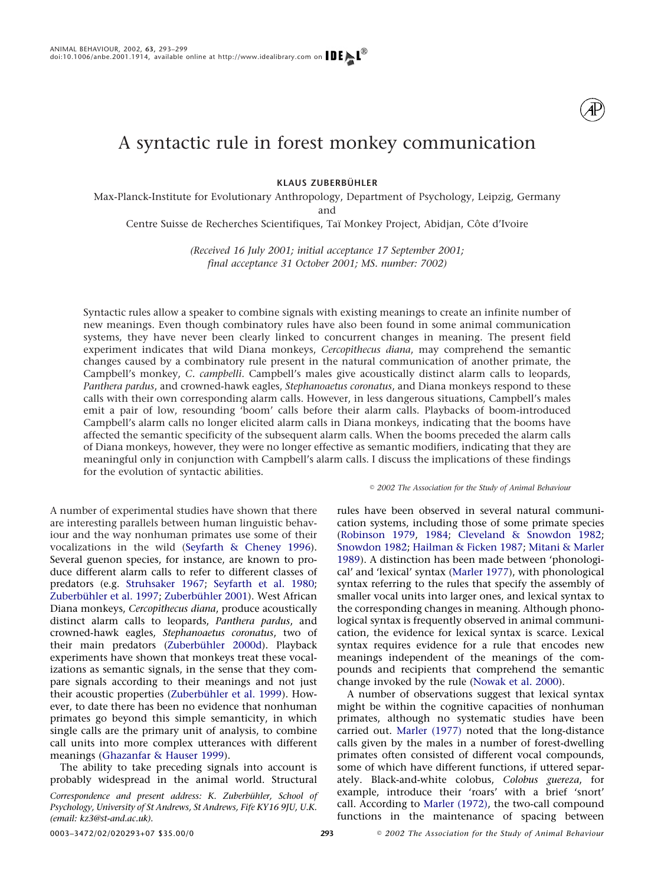# A syntactic rule in forest monkey communication

**KLAUS ZUBERBU**} **HLER**

Max-Planck-Institute for Evolutionary Anthropology, Department of Psychology, Leipzig, Germany and

Centre Suisse de Recherches Scientifiques, Taï Monkey Project, Abidjan, Côte d'Ivoire

*(Received 16 July 2001; initial acceptance 17 September 2001; final acceptance 31 October 2001; MS. number: 7002)*

Syntactic rules allow a speaker to combine signals with existing meanings to create an infinite number of new meanings. Even though combinatory rules have also been found in some animal communication systems, they have never been clearly linked to concurrent changes in meaning. The present field experiment indicates that wild Diana monkeys, *Cercopithecus diana*, may comprehend the semantic changes caused by a combinatory rule present in the natural communication of another primate, the Campbell's monkey, *C. campbelli*. Campbell's males give acoustically distinct alarm calls to leopards, *Panthera pardus*, and crowned-hawk eagles, *Stephanoaetus coronatus*, and Diana monkeys respond to these calls with their own corresponding alarm calls. However, in less dangerous situations, Campbell's males emit a pair of low, resounding 'boom' calls before their alarm calls. Playbacks of boom-introduced Campbell's alarm calls no longer elicited alarm calls in Diana monkeys, indicating that the booms have affected the semantic specificity of the subsequent alarm calls. When the booms preceded the alarm calls of Diana monkeys, however, they were no longer effective as semantic modifiers, indicating that they are meaningful only in conjunction with Campbell's alarm calls. I discuss the implications of these findings for the evolution of syntactic abilities.

A number of experimental studies have shown that there are interesting parallels between human linguistic behaviour and the way nonhuman primates use some of their vocalizations in the wild [\(Seyfarth & Cheney 1996\)](#page-6-0). Several guenon species, for instance, are known to produce different alarm calls to refer to different classes of predators (e.g. [Struhsaker 1967;](#page-6-1) [Seyfarth et al. 1980;](#page-6-2) Zuberbühler et al. 1997; Zuberbühler 2001). West African Diana monkeys, *Cercopithecus diana*, produce acoustically distinct alarm calls to leopards, *Panthera pardus*, and crowned-hawk eagles, *Stephanoaetus coronatus*, two of their main predators (Zuberbühler 2000d). Playback experiments have shown that monkeys treat these vocalizations as semantic signals, in the sense that they compare signals according to their meanings and not just their acoustic properties (Zuberbühler et al. 1999). However, to date there has been no evidence that nonhuman primates go beyond this simple semanticity, in which single calls are the primary unit of analysis, to combine call units into more complex utterances with different meanings [\(Ghazanfar & Hauser 1999\)](#page-5-0).

The ability to take preceding signals into account is probably widespread in the animal world. Structural

*Correspondence and present address: K. Zuberbu¨hler, School of Psychology, University of St Andrews, St Andrews, Fife KY16 9JU, U.K. (email: kz3@st-and.ac.uk).*

*2002 The Association for the Study of Animal Behaviour*

rules have been observed in several natural communication systems, including those of some primate species [\(Robinson 1979,](#page-6-7) [1984;](#page-6-8) [Cleveland & Snowdon 1982;](#page-5-1) [Snowdon 1982;](#page-6-9) [Hailman & Ficken 1987;](#page-5-2) [Mitani & Marler](#page-6-10) [1989\)](#page-6-10). A distinction has been made between 'phonological' and 'lexical' syntax [\(Marler 1977\)](#page-6-11), with phonological syntax referring to the rules that specify the assembly of smaller vocal units into larger ones, and lexical syntax to the corresponding changes in meaning. Although phonological syntax is frequently observed in animal communication, the evidence for lexical syntax is scarce. Lexical syntax requires evidence for a rule that encodes new meanings independent of the meanings of the compounds and recipients that comprehend the semantic change invoked by the rule [\(Nowak et al. 2000\)](#page-6-12).

A number of observations suggest that lexical syntax might be within the cognitive capacities of nonhuman primates, although no systematic studies have been carried out. [Marler \(1977\)](#page-6-11) noted that the long-distance calls given by the males in a number of forest-dwelling primates often consisted of different vocal compounds, some of which have different functions, if uttered separately. Black-and-white colobus, *Colobus guereza*, for example, introduce their 'roars' with a brief 'snort' call. According to [Marler \(1972\),](#page-6-11) the two-call compound functions in the maintenance of spacing between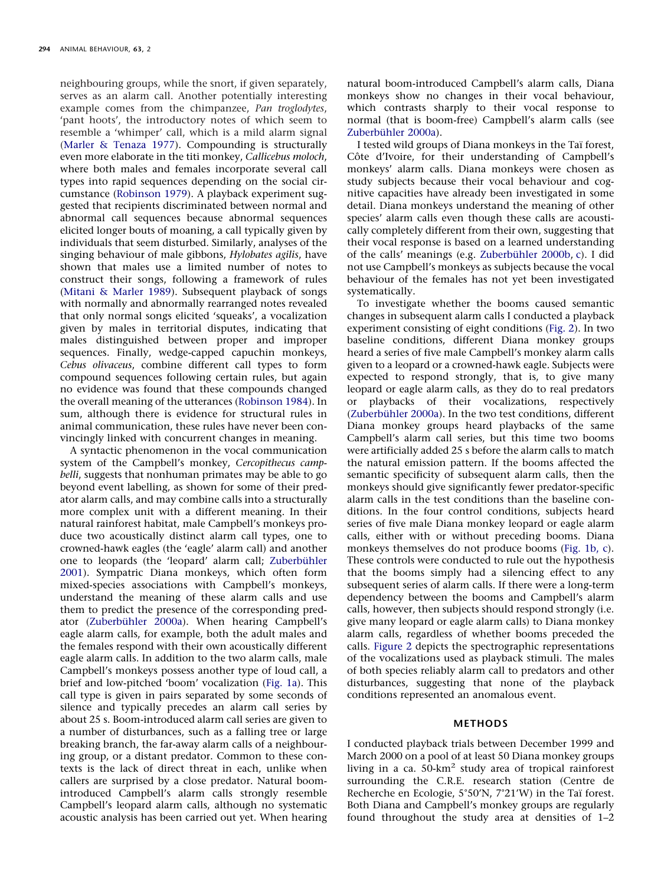neighbouring groups, while the snort, if given separately, serves as an alarm call. Another potentially interesting example comes from the chimpanzee, *Pan troglodytes*, 'pant hoots', the introductory notes of which seem to resemble a 'whimper' call, which is a mild alarm signal [\(Marler & Tenaza 1977\)](#page-6-13). Compounding is structurally even more elaborate in the titi monkey, *Callicebus moloch*, where both males and females incorporate several call types into rapid sequences depending on the social circumstance [\(Robinson 1979\)](#page-6-7). A playback experiment suggested that recipients discriminated between normal and abnormal call sequences because abnormal sequences elicited longer bouts of moaning, a call typically given by individuals that seem disturbed. Similarly, analyses of the singing behaviour of male gibbons, *Hylobates agilis*, have shown that males use a limited number of notes to construct their songs, following a framework of rules [\(Mitani & Marler 1989\)](#page-6-10). Subsequent playback of songs with normally and abnormally rearranged notes revealed that only normal songs elicited 'squeaks', a vocalization given by males in territorial disputes, indicating that males distinguished between proper and improper sequences. Finally, wedge-capped capuchin monkeys, *Cebus olivaceus*, combine different call types to form compound sequences following certain rules, but again no evidence was found that these compounds changed the overall meaning of the utterances [\(Robinson 1984\)](#page-6-8). In sum, although there is evidence for structural rules in animal communication, these rules have never been convincingly linked with concurrent changes in meaning.

A syntactic phenomenon in the vocal communication system of the Campbell's monkey, *Cercopithecus campbelli*, suggests that nonhuman primates may be able to go beyond event labelling, as shown for some of their predator alarm calls, and may combine calls into a structurally more complex unit with a different meaning. In their natural rainforest habitat, male Campbell's monkeys produce two acoustically distinct alarm call types, one to crowned-hawk eagles (the 'eagle' alarm call) and another one to leopards (the 'leopard' alarm call; Zuberbühler [2001\)](#page-6-4). Sympatric Diana monkeys, which often form mixed-species associations with Campbell's monkeys, understand the meaning of these alarm calls and use them to predict the presence of the corresponding predator (Zuberbühler 2000a). When hearing Campbell's eagle alarm calls, for example, both the adult males and the females respond with their own acoustically different eagle alarm calls. In addition to the two alarm calls, male Campbell's monkeys possess another type of loud call, a brief and low-pitched 'boom' vocalization [\(Fig. 1a\)](#page-2-0). This call type is given in pairs separated by some seconds of silence and typically precedes an alarm call series by about 25 s. Boom-introduced alarm call series are given to a number of disturbances, such as a falling tree or large breaking branch, the far-away alarm calls of a neighbouring group, or a distant predator. Common to these contexts is the lack of direct threat in each, unlike when callers are surprised by a close predator. Natural boomintroduced Campbell's alarm calls strongly resemble Campbell's leopard alarm calls, although no systematic acoustic analysis has been carried out yet. When hearing

natural boom-introduced Campbell's alarm calls, Diana monkeys show no changes in their vocal behaviour, which contrasts sharply to their vocal response to normal (that is boom-free) Campbell's alarm calls (see Zuberbühler 2000a).

I tested wild groups of Diana monkeys in the Taï forest, Côte d'Ivoire, for their understanding of Campbell's monkeys' alarm calls. Diana monkeys were chosen as study subjects because their vocal behaviour and cognitive capacities have already been investigated in some detail. Diana monkeys understand the meaning of other species' alarm calls even though these calls are acoustically completely different from their own, suggesting that their vocal response is based on a learned understanding of the calls' meanings (e.g. Zuberbühler 2000b, [c\)](#page-6-16). I did not use Campbell's monkeys as subjects because the vocal behaviour of the females has not yet been investigated systematically.

To investigate whether the booms caused semantic changes in subsequent alarm calls I conducted a playback experiment consisting of eight conditions [\(Fig. 2\)](#page-3-0). In two baseline conditions, different Diana monkey groups heard a series of five male Campbell's monkey alarm calls given to a leopard or a crowned-hawk eagle. Subjects were expected to respond strongly, that is, to give many leopard or eagle alarm calls, as they do to real predators or playbacks of their vocalizations, respectively (Zuberbühler 2000a). In the two test conditions, different Diana monkey groups heard playbacks of the same Campbell's alarm call series, but this time two booms were artificially added 25 s before the alarm calls to match the natural emission pattern. If the booms affected the semantic specificity of subsequent alarm calls, then the monkeys should give significantly fewer predator-specific alarm calls in the test conditions than the baseline conditions. In the four control conditions, subjects heard series of five male Diana monkey leopard or eagle alarm calls, either with or without preceding booms. Diana monkeys themselves do not produce booms [\(Fig. 1b, c\)](#page-2-0). These controls were conducted to rule out the hypothesis that the booms simply had a silencing effect to any subsequent series of alarm calls. If there were a long-term dependency between the booms and Campbell's alarm calls, however, then subjects should respond strongly (i.e. give many leopard or eagle alarm calls) to Diana monkey alarm calls, regardless of whether booms preceded the calls. [Figure 2](#page-3-0) depicts the spectrographic representations of the vocalizations used as playback stimuli. The males of both species reliably alarm call to predators and other disturbances, suggesting that none of the playback conditions represented an anomalous event.

## **METHODS**

I conducted playback trials between December 1999 and March 2000 on a pool of at least 50 Diana monkey groups living in a ca.  $50\text{-}km^2$  study area of tropical rainforest surrounding the C.R.E. research station (Centre de Recherche en Ecologie, 5°50'N, 7°21'W) in the Taï forest. Both Diana and Campbell's monkey groups are regularly found throughout the study area at densities of 1–2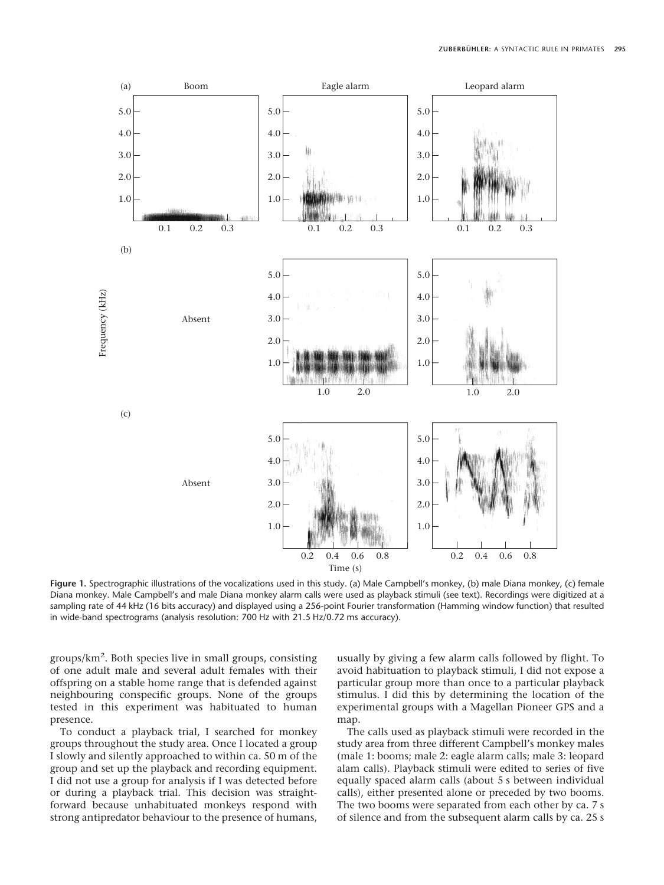<span id="page-2-0"></span>

Figure 1. Spectrographic illustrations of the vocalizations used in this study. (a) Male Campbell's monkey, (b) male Diana monkey, (c) female Diana monkey. Male Campbell's and male Diana monkey alarm calls were used as playback stimuli (see text). Recordings were digitized at a sampling rate of 44 kHz (16 bits accuracy) and displayed using a 256-point Fourier transformation (Hamming window function) that resulted in wide-band spectrograms (analysis resolution: 700 Hz with 21.5 Hz/0.72 ms accuracy).

groups/km<sup>2</sup>. Both species live in small groups, consisting of one adult male and several adult females with their offspring on a stable home range that is defended against neighbouring conspecific groups. None of the groups tested in this experiment was habituated to human presence.

To conduct a playback trial, I searched for monkey groups throughout the study area. Once I located a group I slowly and silently approached to within ca. 50 m of the group and set up the playback and recording equipment. I did not use a group for analysis if I was detected before or during a playback trial. This decision was straightforward because unhabituated monkeys respond with strong antipredator behaviour to the presence of humans, usually by giving a few alarm calls followed by flight. To avoid habituation to playback stimuli, I did not expose a particular group more than once to a particular playback stimulus. I did this by determining the location of the experimental groups with a Magellan Pioneer GPS and a map.

The calls used as playback stimuli were recorded in the study area from three different Campbell's monkey males (male 1: booms; male 2: eagle alarm calls; male 3: leopard alam calls). Playback stimuli were edited to series of five equally spaced alarm calls (about 5 s between individual calls), either presented alone or preceded by two booms. The two booms were separated from each other by ca. 7 s of silence and from the subsequent alarm calls by ca. 25 s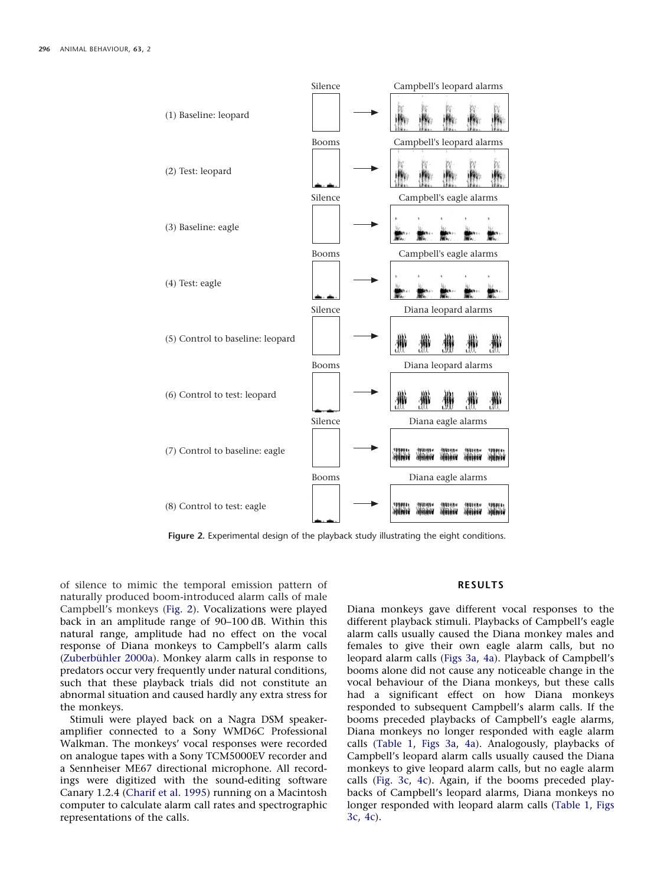<span id="page-3-0"></span>

**Figure 2.** Experimental design of the playback study illustrating the eight conditions.

of silence to mimic the temporal emission pattern of naturally produced boom-introduced alarm calls of male Campbell's monkeys [\(Fig. 2\)](#page-3-0). Vocalizations were played back in an amplitude range of 90–100 dB. Within this natural range, amplitude had no effect on the vocal response of Diana monkeys to Campbell's alarm calls (Zuberbühler 2000a). Monkey alarm calls in response to predators occur very frequently under natural conditions, such that these playback trials did not constitute an abnormal situation and caused hardly any extra stress for the monkeys.

Stimuli were played back on a Nagra DSM speakeramplifier connected to a Sony WMD6C Professional Walkman. The monkeys' vocal responses were recorded on analogue tapes with a Sony TCM5000EV recorder and a Sennheiser ME67 directional microphone. All recordings were digitized with the sound-editing software Canary 1.2.4 [\(Charif et al. 1995\)](#page-5-3) running on a Macintosh computer to calculate alarm call rates and spectrographic representations of the calls.

#### **RESULTS**

Diana monkeys gave different vocal responses to the different playback stimuli. Playbacks of Campbell's eagle alarm calls usually caused the Diana monkey males and females to give their own eagle alarm calls, but no leopard alarm calls [\(Figs 3a,](#page-4-0) [4a\)](#page-4-1). Playback of Campbell's booms alone did not cause any noticeable change in the vocal behaviour of the Diana monkeys, but these calls had a significant effect on how Diana monkeys responded to subsequent Campbell's alarm calls. If the booms preceded playbacks of Campbell's eagle alarms, Diana monkeys no longer responded with eagle alarm calls [\(Table 1,](#page-5-4) [Figs 3a,](#page-4-0) [4a\)](#page-4-1). Analogously, playbacks of Campbell's leopard alarm calls usually caused the Diana monkeys to give leopard alarm calls, but no eagle alarm calls [\(Fig. 3c,](#page-4-0) [4c\)](#page-4-1). Again, if the booms preceded playbacks of Campbell's leopard alarms, Diana monkeys no longer responded with leopard alarm calls [\(Table 1,](#page-5-4) [Figs](#page-4-0) [3c,](#page-4-0) [4c\)](#page-4-1).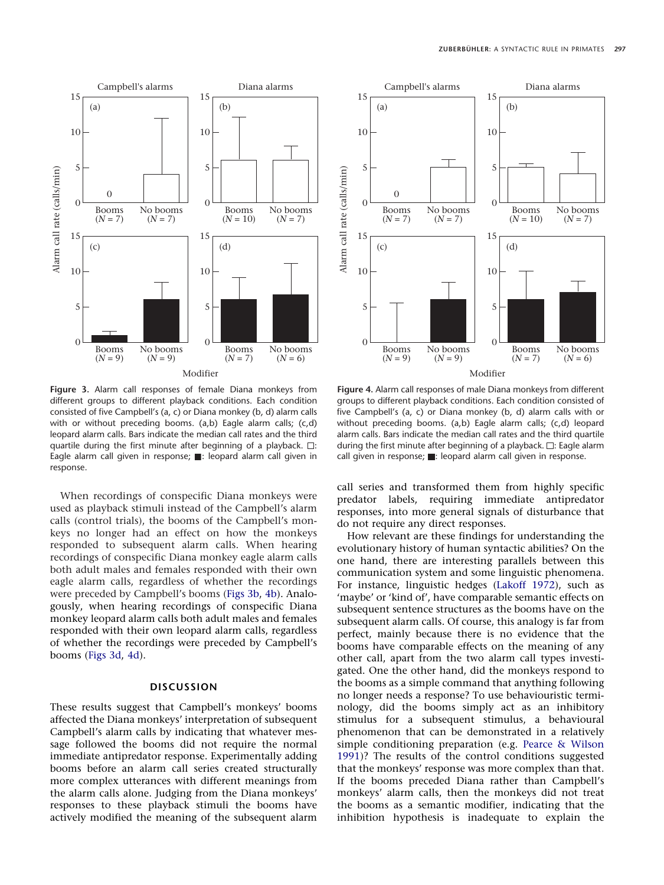<span id="page-4-0"></span>

**Figure 3.** Alarm call responses of female Diana monkeys from different groups to different playback conditions. Each condition consisted of five Campbell's (a, c) or Diana monkey (b, d) alarm calls with or without preceding booms. (a,b) Eagle alarm calls; (c,d) leopard alarm calls. Bars indicate the median call rates and the third quartile during the first minute after beginning of a playback.  $\Box$ : Eagle alarm call given in response; : leopard alarm call given in response.

When recordings of conspecific Diana monkeys were used as playback stimuli instead of the Campbell's alarm calls (control trials), the booms of the Campbell's monkeys no longer had an effect on how the monkeys responded to subsequent alarm calls. When hearing recordings of conspecific Diana monkey eagle alarm calls both adult males and females responded with their own eagle alarm calls, regardless of whether the recordings were preceded by Campbell's booms [\(Figs 3b,](#page-4-0) [4b\)](#page-4-1). Analogously, when hearing recordings of conspecific Diana monkey leopard alarm calls both adult males and females responded with their own leopard alarm calls, regardless of whether the recordings were preceded by Campbell's booms [\(Figs 3d,](#page-4-0) [4d\)](#page-4-1).

# **DISCUSSION**

These results suggest that Campbell's monkeys' booms affected the Diana monkeys' interpretation of subsequent Campbell's alarm calls by indicating that whatever message followed the booms did not require the normal immediate antipredator response. Experimentally adding booms before an alarm call series created structurally more complex utterances with different meanings from the alarm calls alone. Judging from the Diana monkeys' responses to these playback stimuli the booms have actively modified the meaning of the subsequent alarm

<span id="page-4-1"></span>

**Figure 4.** Alarm call responses of male Diana monkeys from different groups to different playback conditions. Each condition consisted of five Campbell's (a, c) or Diana monkey (b, d) alarm calls with or without preceding booms. (a,b) Eagle alarm calls; (c,d) leopard alarm calls. Bars indicate the median call rates and the third quartile during the first minute after beginning of a playback.  $\square$ : Eagle alarm call given in response; : leopard alarm call given in response.

call series and transformed them from highly specific predator labels, requiring immediate antipredator responses, into more general signals of disturbance that do not require any direct responses.

How relevant are these findings for understanding the evolutionary history of human syntactic abilities? On the one hand, there are interesting parallels between this communication system and some linguistic phenomena. For instance, linguistic hedges [\(Lakoff 1972\)](#page-6-17), such as 'maybe' or 'kind of', have comparable semantic effects on subsequent sentence structures as the booms have on the subsequent alarm calls. Of course, this analogy is far from perfect, mainly because there is no evidence that the booms have comparable effects on the meaning of any other call, apart from the two alarm call types investigated. One the other hand, did the monkeys respond to the booms as a simple command that anything following no longer needs a response? To use behaviouristic terminology, did the booms simply act as an inhibitory stimulus for a subsequent stimulus, a behavioural phenomenon that can be demonstrated in a relatively simple conditioning preparation (e.g. [Pearce & Wilson](#page-6-18) [1991\)](#page-6-18)? The results of the control conditions suggested that the monkeys' response was more complex than that. If the booms preceded Diana rather than Campbell's monkeys' alarm calls, then the monkeys did not treat the booms as a semantic modifier, indicating that the inhibition hypothesis is inadequate to explain the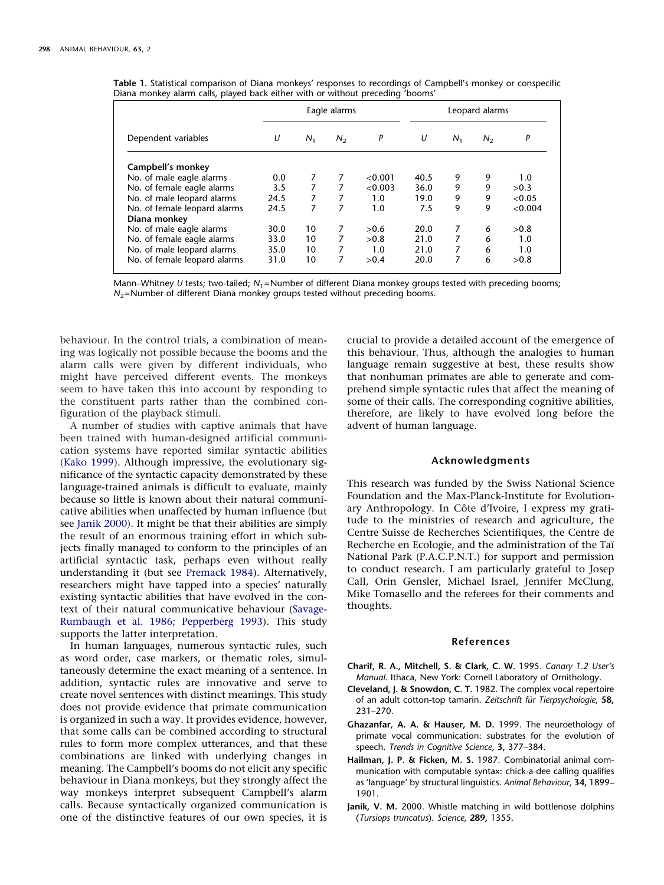| Dependent variables          | Eagle alarms |         |         |         | Leopard alarms |         |         |         |
|------------------------------|--------------|---------|---------|---------|----------------|---------|---------|---------|
|                              | U            | $N_{1}$ | $N_{2}$ | P       | U              | $N_{1}$ | $N_{2}$ | P       |
| Campbell's monkey            |              |         |         |         |                |         |         |         |
| No. of male eagle alarms     | 0.0          | 7       | 7       | < 0.001 | 40.5           | 9       | 9       | 1.0     |
| No. of female eagle alarms   | 3.5          | 7       | 7       | <0.003  | 36.0           | 9       | 9       | >0.3    |
| No. of male leopard alarms   | 24.5         | 7       | 7       | 1.0     | 19.0           | 9       | 9       | < 0.05  |
| No. of female leopard alarms | 24.5         | 7       | 7       | 1.0     | 7.5            | 9       | 9       | < 0.004 |
| Diana monkey                 |              |         |         |         |                |         |         |         |
| No. of male eagle alarms     | 30.0         | 10      | 7       | >0.6    | 20.0           | 7       | 6       | >0.8    |
| No. of female eagle alarms   | 33.0         | 10      | 7       | >0.8    | 21.0           | 7       | 6       | 1.0     |
| No. of male leopard alarms   | 35.0         | 10      | 7       | 1.0     | 21.0           | 7       | 6       | 1.0     |
| No. of female leopard alarms | 31.0         | 10      | 7       | >0.4    | 20.0           | 7       | 6       | >0.8    |

<span id="page-5-4"></span>**Table 1.** Statistical comparison of Diana monkeys' responses to recordings of Campbell's monkey or conspecific Diana monkey alarm calls, played back either with or without preceding 'booms'

Mann–Whitney *U* tests; two-tailed;  $N_1$ =Number of different Diana monkey groups tested with preceding booms; *N*<sub>2</sub>=Number of different Diana monkey groups tested without preceding booms.

behaviour. In the control trials, a combination of meaning was logically not possible because the booms and the alarm calls were given by different individuals, who might have perceived different events. The monkeys seem to have taken this into account by responding to the constituent parts rather than the combined configuration of the playback stimuli.

A number of studies with captive animals that have been trained with human-designed artificial communication systems have reported similar syntactic abilities [\(Kako 1999\)](#page-6-19). Although impressive, the evolutionary significance of the syntactic capacity demonstrated by these language-trained animals is difficult to evaluate, mainly because so little is known about their natural communicative abilities when unaffected by human influence (but see [Janik 2000\)](#page-5-5). It might be that their abilities are simply the result of an enormous training effort in which subjects finally managed to conform to the principles of an artificial syntactic task, perhaps even without really understanding it (but see [Premack 1984\)](#page-6-20). Alternatively, researchers might have tapped into a species' naturally existing syntactic abilities that have evolved in the context of their natural communicative behaviour [\(Savage-](#page-6-21)[Rumbaugh et al. 1986;](#page-6-21) [Pepperberg 1993\)](#page-6-22). This study supports the latter interpretation.

In human languages, numerous syntactic rules, such as word order, case markers, or thematic roles, simultaneously determine the exact meaning of a sentence. In addition, syntactic rules are innovative and serve to create novel sentences with distinct meanings. This study does not provide evidence that primate communication is organized in such a way. It provides evidence, however, that some calls can be combined according to structural rules to form more complex utterances, and that these combinations are linked with underlying changes in meaning. The Campbell's booms do not elicit any specific behaviour in Diana monkeys, but they strongly affect the way monkeys interpret subsequent Campbell's alarm calls. Because syntactically organized communication is one of the distinctive features of our own species, it is crucial to provide a detailed account of the emergence of this behaviour. Thus, although the analogies to human language remain suggestive at best, these results show that nonhuman primates are able to generate and comprehend simple syntactic rules that affect the meaning of some of their calls. The corresponding cognitive abilities, therefore, are likely to have evolved long before the advent of human language.

## **Acknowledgments**

This research was funded by the Swiss National Science Foundation and the Max-Planck-Institute for Evolutionary Anthropology. In Côte d'Ivoire, I express my gratitude to the ministries of research and agriculture, the Centre Suisse de Recherches Scientifiques, the Centre de Recherche en Ecologie, and the administration of the Taï National Park (P.A.C.P.N.T.) for support and permission to conduct research. I am particularly grateful to Josep Call, Orin Gensler, Michael Israel, Jennifer McClung, Mike Tomasello and the referees for their comments and thoughts.

### **References**

- <span id="page-5-3"></span>**Charif, R. A., Mitchell, S. & Clark, C. W.** 1995. *Canary 1.2 User's Manual*. Ithaca, New York: Cornell Laboratory of Ornithology.
- <span id="page-5-1"></span>**Cleveland, J. & Snowdon, C. T.** 1982. The complex vocal repertoire of an adult cotton-top tamarin. *Zeitschrift fu¨r Tierpsychologie*, **58,** 231–270.
- <span id="page-5-0"></span>**Ghazanfar, A. A. & Hauser, M. D.** 1999. The neuroethology of primate vocal communication: substrates for the evolution of speech. *Trends in Cognitive Science*, **3,** 377–384.
- <span id="page-5-2"></span>**Hailman, J. P. & Ficken, M. S.** 1987. Combinatorial animal communication with computable syntax: chick-a-dee calling qualifies as 'language' by structural linguistics. *Animal Behaviour*, **34,** 1899– 1901.
- <span id="page-5-5"></span>**Janik, V. M.** 2000. Whistle matching in wild bottlenose dolphins (*Tursiops truncatus*). *Science*, **289,** 1355.